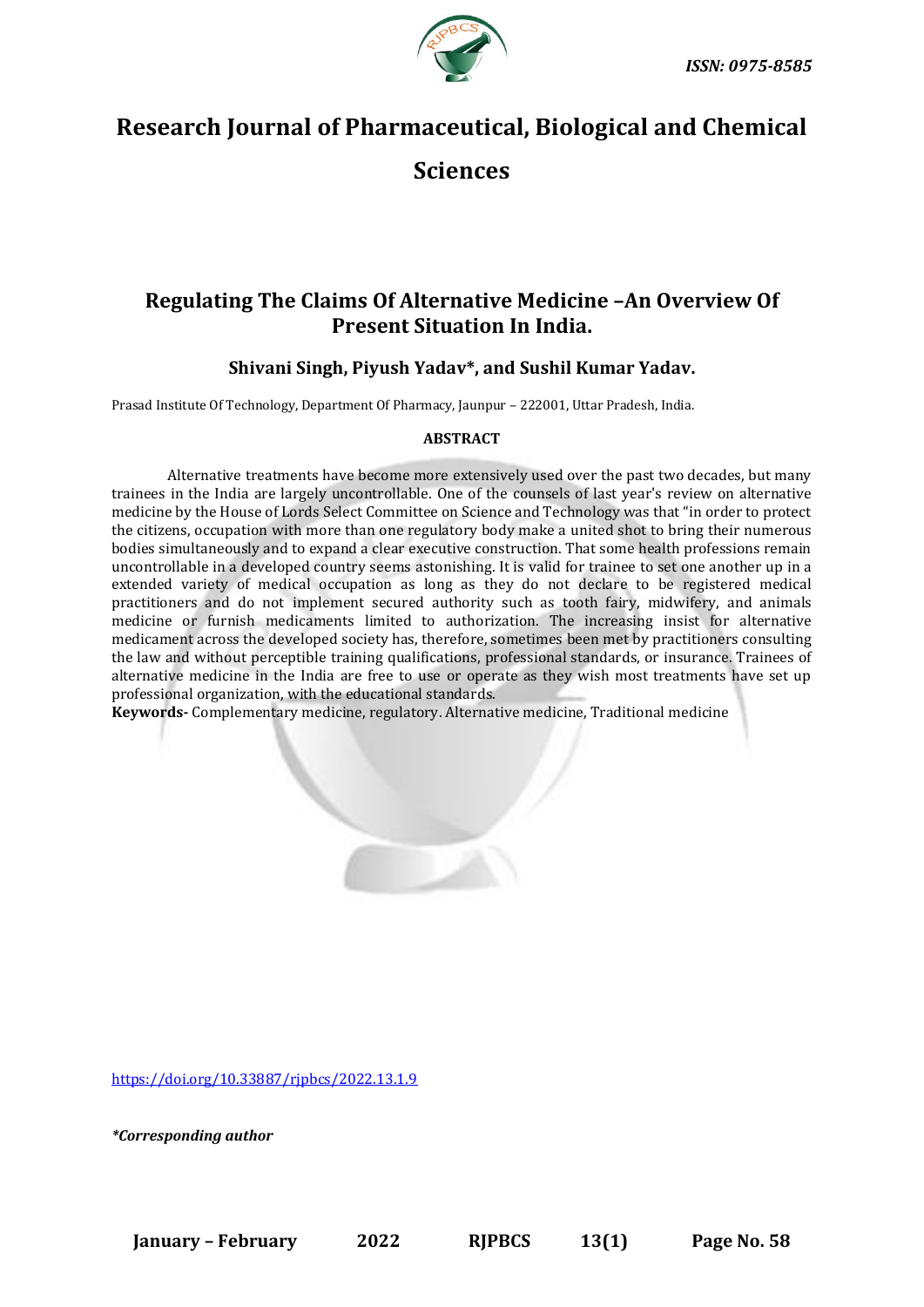

# **Research Journal of Pharmaceutical, Biological and Chemical Sciences**

# **Regulating The Claims Of Alternative Medicine –An Overview Of Present Situation In India.**

# **Shivani Singh, Piyush Yadav\*, and Sushil Kumar Yadav.**

Prasad Institute Of Technology, Department Of Pharmacy, Jaunpur – 222001, Uttar Pradesh, India.

# **ABSTRACT**

Alternative treatments have become more extensively used over the past two decades, but many trainees in the India are largely uncontrollable. One of the counsels of last year's review on alternative medicine by the House of Lords Select Committee on Science and Technology was that "in order to protect the citizens, occupation with more than one regulatory body make a united shot to bring their numerous bodies simultaneously and to expand a clear executive construction. That some health professions remain uncontrollable in a developed country seems astonishing. It is valid for trainee to set one another up in a extended variety of medical occupation as long as they do not declare to be registered medical practitioners and do not implement secured authority such as tooth fairy, midwifery, and animals medicine or furnish medicaments limited to authorization. The increasing insist for alternative medicament across the developed society has, therefore, sometimes been met by practitioners consulting the law and without perceptible training qualifications, professional standards, or insurance. Trainees of alternative medicine in the India are free to use or operate as they wish most treatments have set up professional organization, with the educational standards.

**Keywords-** Complementary medicine, regulatory. Alternative medicine, Traditional medicine

[https://doi.org/10.33887/rjpbcs/2022.13.1.9](https://doi.org/10.33887/rjpbcs/2022.13.1.1)

*\*Corresponding author*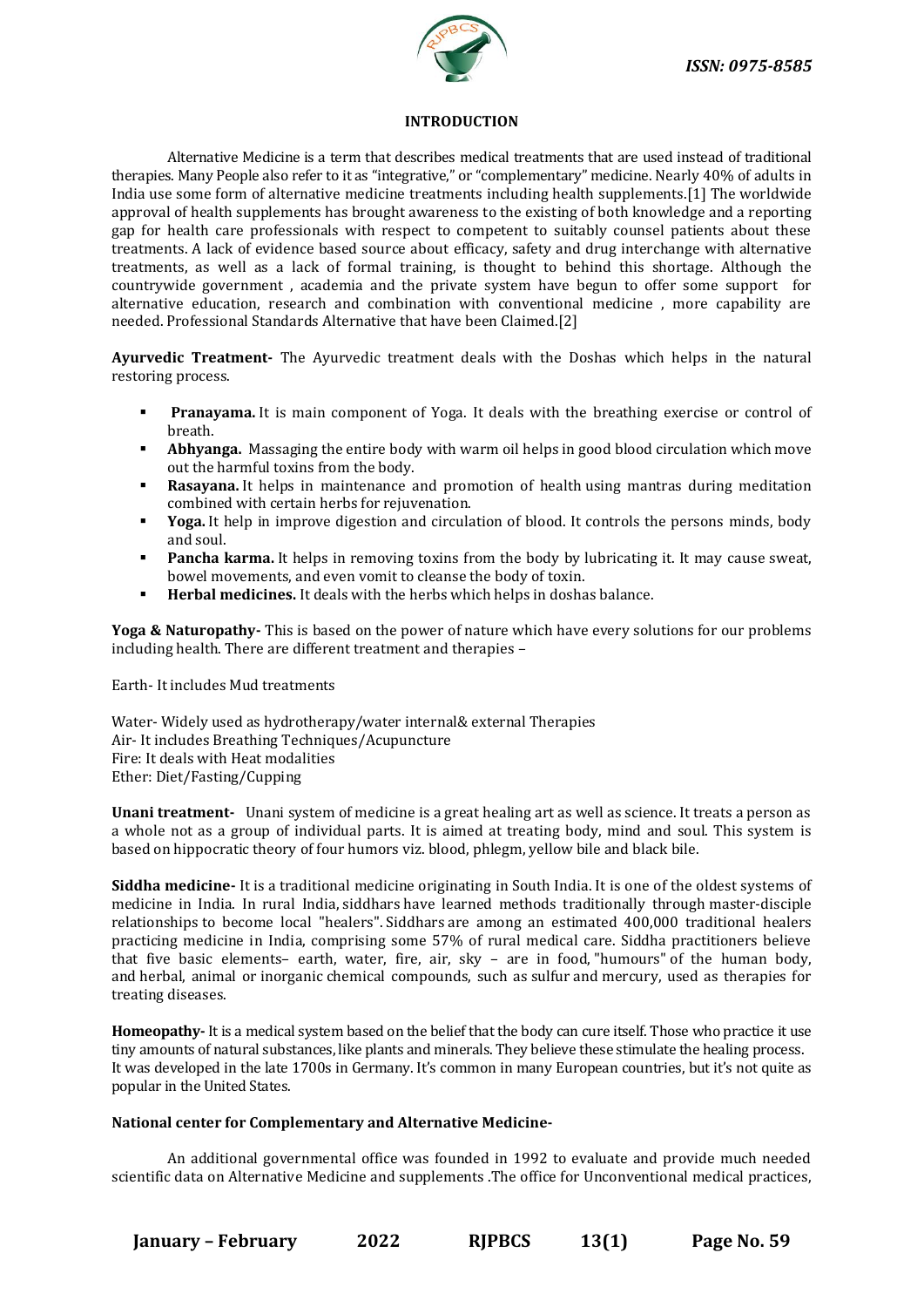

# **INTRODUCTION**

Alternative Medicine is a term that describes medical treatments that are used instead of traditional therapies. Many People also refer to it as "integrative," or "complementary" medicine. Nearly 40% of adults in India use some form of alternative medicine treatments including health supplements.[1] The worldwide approval of health supplements has brought awareness to the existing of both knowledge and a reporting gap for health care professionals with respect to competent to suitably counsel patients about these treatments. A lack of evidence based source about efficacy, safety and drug interchange with alternative treatments, as well as a lack of formal training, is thought to behind this shortage. Although the countrywide government , academia and the private system have begun to offer some support for alternative education, research and combination with conventional medicine , more capability are needed. Professional Standards Alternative that have been Claimed.[2]

**Ayurvedic Treatment-** The Ayurvedic treatment deals with the Doshas which helps in the natural restoring process.

- **Pranayama.** It is main component of Yoga. It deals with the breathing exercise or control of breath.
- **Abhyanga.** Massaging the entire body with warm oil helps in good blood circulation which move out the harmful toxins from the body.
- Rasavana. It helps in maintenance and promotion of health using mantras during meditation combined with certain herbs for rejuvenation.
- **Yoga.** It help in improve digestion and circulation of blood. It controls the persons minds, body and soul.
- **Pancha karma.** It helps in removing toxins from the body by lubricating it. It may cause sweat, bowel movements, and even vomit to cleanse the body of toxin.
- **Herbal medicines.** It deals with the herbs which helps in doshas balance.

**Yoga & Naturopathy-** This is based on the power of nature which have every solutions for our problems including health. There are different treatment and therapies –

Earth- It includes Mud treatments

Water- Widely used as hydrotherapy/water internal& external Therapies Air- It includes Breathing Techniques/Acupuncture Fire: It deals with Heat modalities Ether: Diet/Fasting/Cupping

**Unani treatment-** Unani system of medicine is a great healing art as well as science. It treats a person as a whole not as a group of individual parts. It is aimed at treating body, mind and soul. This system is based on hippocratic theory of four humors viz. blood, phlegm, yellow bile and black bile.

**Siddha medicine-** It is a [traditional medicine](https://en.wikipedia.org/wiki/Traditional_medicine) originating in [South India.](https://en.wikipedia.org/wiki/South_India) It is one of the oldest systems of medicine in India. In rural India, siddhars have learned methods traditionally through [master-disciple](https://en.wikipedia.org/wiki/Traditional_knowledge)  [relationships](https://en.wikipedia.org/wiki/Traditional_knowledge) to become local "healers". Siddhars are among an estimated 400,000 traditional healers practicing medicine in India, comprising some 57% of rural medical care. Siddha practitioners believe that five basic elements– earth, water, fire, air, sky – are in food, ["humours"](https://en.wikipedia.org/wiki/Humorism#Four_humors) of the human body, and [herbal,](https://en.wikipedia.org/wiki/Herbalism) animal or [inorganic](https://en.wikipedia.org/wiki/Inorganic) chemical compounds, such as [sulfur](https://en.wikipedia.org/wiki/Sulfur) and [mercury,](https://en.wikipedia.org/wiki/Mercury_(element)) used as therapies for treating diseases.

**Homeopathy-** It is a medical system based on the belief that the body can cure itself. Those who practice it use tiny amounts of natural substances, like plants and minerals. They believe these stimulate the healing process. It was developed in the late 1700s in Germany. It's common in many European countries, but it's not quite as popular in the United States.

# **National center for Complementary and Alternative Medicine-**

An additional governmental office was founded in 1992 to evaluate and provide much needed scientific data on Alternative Medicine and supplements .The office for Unconventional medical practices,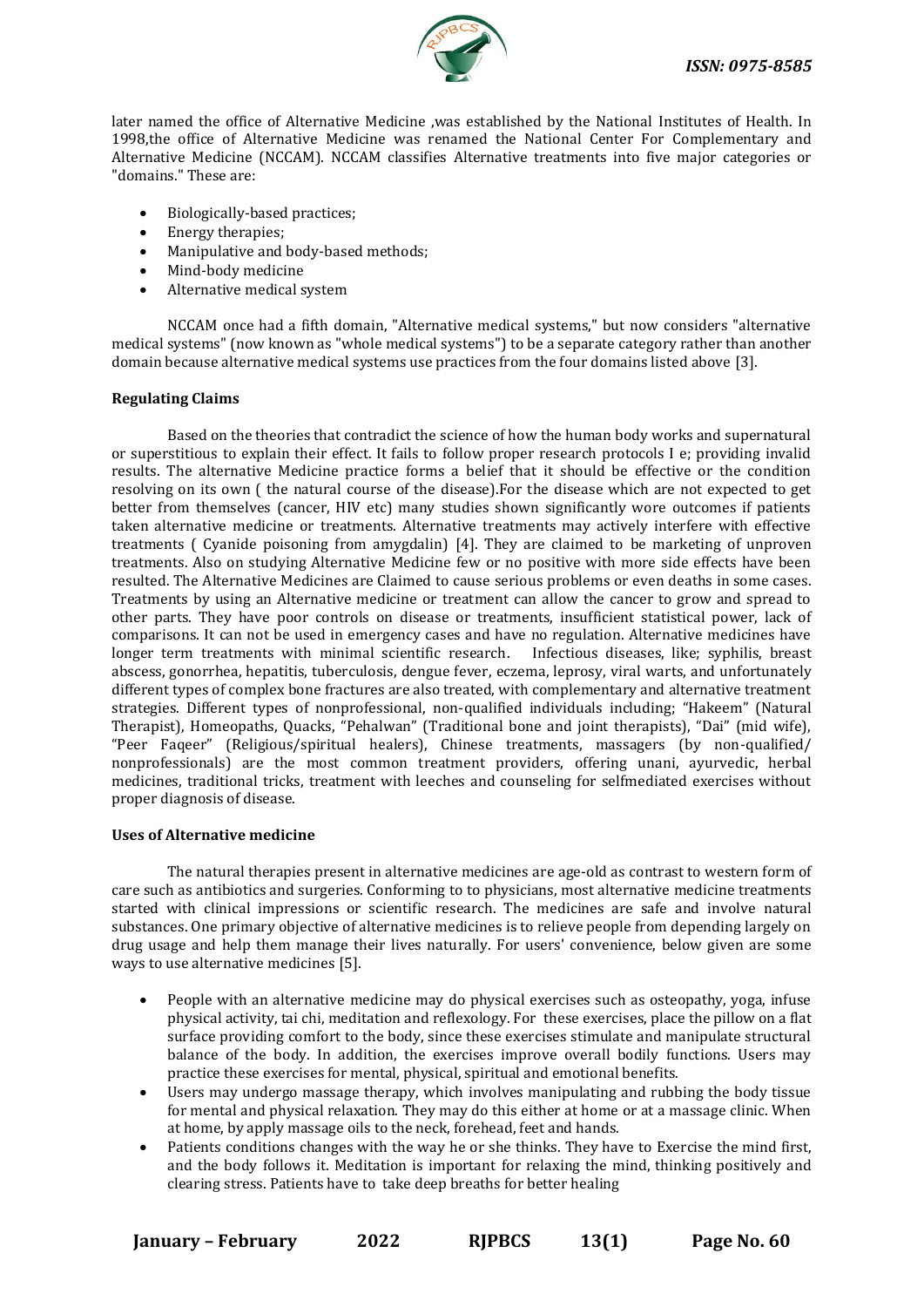

later named the office of Alternative Medicine ,was established by the National Institutes of Health. In 1998,the office of Alternative Medicine was renamed the National Center For Complementary and Alternative Medicine (NCCAM). NCCAM classifies Alternative treatments into five major categories or "domains." These are:

- Biologically-based practices;
- Energy therapies;
- Manipulative and body-based methods;
- Mind-body medicine
- Alternative medical system

NCCAM once had a fifth domain, "Alternative medical systems," but now considers "alternative medical systems" (now known as "whole medical systems") to be a separate category rather than another domain because alternative medical systems use practices from the four domains listed above [3].

# **Regulating Claims**

Based on the theories that contradict the science of how the human body works and supernatural or superstitious to explain their effect. It fails to follow proper research protocols I e; providing invalid results. The alternative Medicine practice forms a belief that it should be effective or the condition resolving on its own ( the natural course of the disease).For the disease which are not expected to get better from themselves (cancer, HIV etc) many studies shown significantly wore outcomes if patients taken alternative medicine or treatments. Alternative treatments may actively interfere with effective treatments ( Cyanide poisoning from amygdalin) [4]. They are claimed to be marketing of unproven treatments. Also on studying Alternative Medicine few or no positive with more side effects have been resulted. The Alternative Medicines are Claimed to cause serious problems or even deaths in some cases. Treatments by using an Alternative medicine or treatment can allow the cancer to grow and spread to other parts. They have poor controls on disease or treatments, insufficient statistical power, lack of comparisons. It can not be used in emergency cases and have no regulation. Alternative medicines have longer term treatments with minimal scientific research. Infectious diseases, like; syphilis, breast abscess, gonorrhea, hepatitis, tuberculosis, dengue fever, eczema, leprosy, viral warts, and unfortunately different types of complex bone fractures are also treated, with complementary and alternative treatment strategies. Different types of nonprofessional, non-qualified individuals including; "Hakeem" (Natural Therapist), Homeopaths, Quacks, "Pehalwan" (Traditional bone and joint therapists), "Dai" (mid wife), "Peer Faqeer" (Religious/spiritual healers), Chinese treatments, massagers (by non-qualified/ nonprofessionals) are the most common treatment providers, offering unani, ayurvedic, herbal medicines, traditional tricks, treatment with leeches and counseling for selfmediated exercises without proper diagnosis of disease.

# **Uses of Alternative medicine**

The natural therapies present in alternative medicines are age-old as contrast to western form of care such as antibiotics and surgeries. Conforming to to physicians, most alternative medicine treatments started with clinical impressions or scientific research. The medicines are safe and involve natural substances. One primary objective of alternative medicines is to relieve people from depending largely on drug usage and help them manage their lives naturally. For users' convenience, below given are some ways to use alternative medicines [5].

- People with an alternative medicine may do physical exercises such as osteopathy, yoga, infuse physical activity, tai chi, meditation and reflexology. For these exercises, place the pillow on a flat surface providing comfort to the body, since these exercises stimulate and manipulate structural balance of the body. In addition, the exercises improve overall bodily functions. Users may practice these exercises for mental, physical, spiritual and emotional benefits.
- Users may undergo massage therapy, which involves manipulating and rubbing the body tissue for mental and physical relaxation. They may do this either at home or at a massage clinic. When at home, by apply massage oils to the neck, forehead, feet and hands.
- Patients conditions changes with the way he or she thinks. They have to Exercise the mind first, and the body follows it. Meditation is important for relaxing the mind, thinking positively and clearing stress. Patients have to take deep breaths for better healing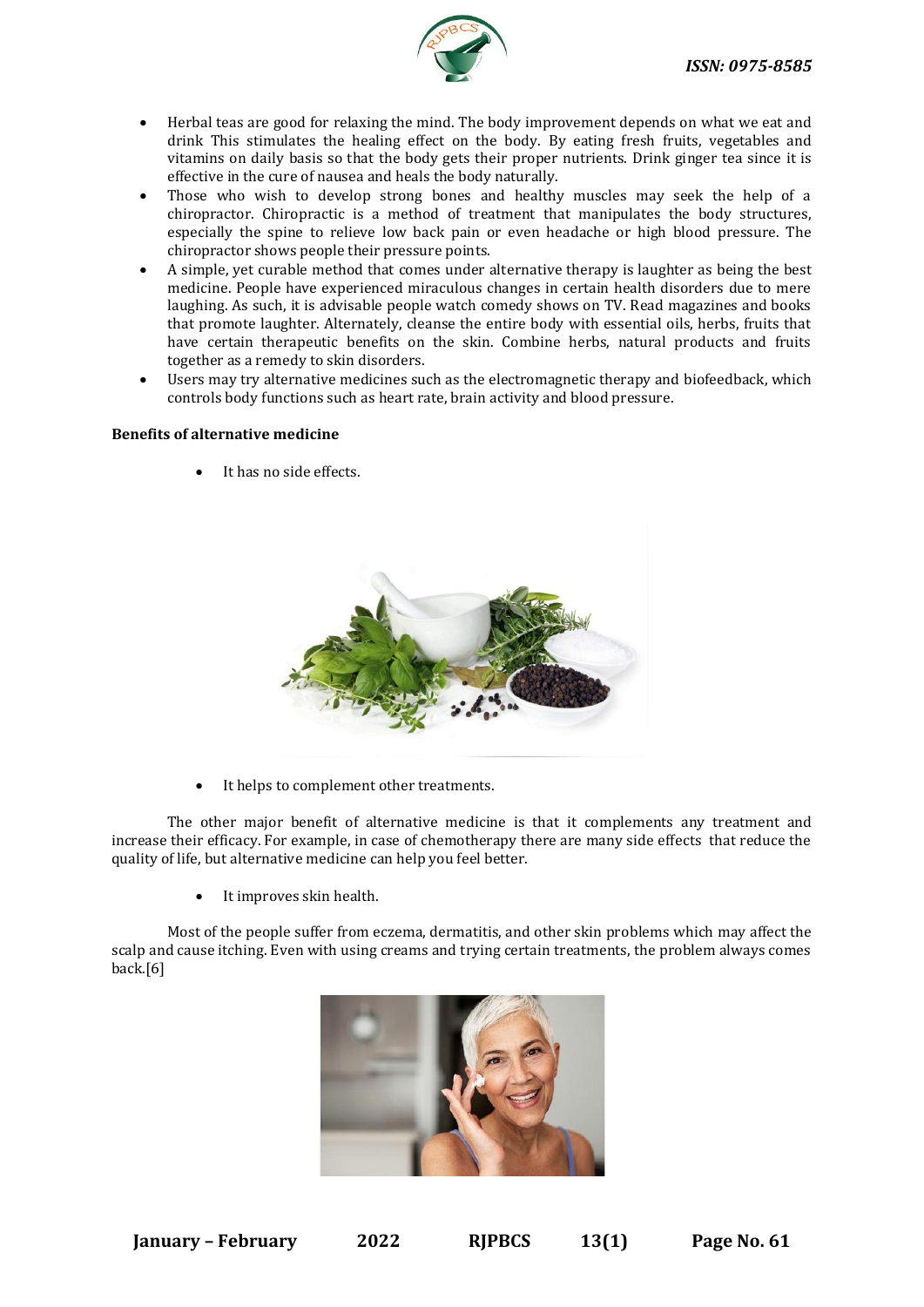

- Herbal teas are good for relaxing the mind. The body improvement depends on what we eat and drink This stimulates the healing effect on the body. By eating fresh fruits, vegetables and vitamins on daily basis so that the body gets their proper nutrients. Drink ginger tea since it is effective in the cure of nausea and heals the body naturally.
- Those who wish to develop strong bones and healthy muscles may seek the help of a chiropractor. Chiropractic is a method of treatment that manipulates the body structures, especially the spine to relieve low back pain or even headache or high blood pressure. The chiropractor shows people their pressure points.
- A simple, yet curable method that comes under alternative therapy is laughter as being the best medicine. People have experienced miraculous changes in certain health disorders due to mere laughing. As such, it is advisable people watch comedy shows on TV. Read magazines and books that promote laughter. Alternately, cleanse the entire body with essential oils, herbs, fruits that have certain therapeutic benefits on the skin. Combine herbs, natural products and fruits together as a remedy to [skin disorders.](https://www.disabled-world.com/health/dermatology/skin/)
- Users may try alternative medicines such as the electromagnetic therapy and [biofeedback,](https://www.disabled-world.com/medical/alternative/biofeedback/) which controls body functions such as heart rate, brain activity and blood pressure.

# **Benefits of alternative medicine**

It has no side effects.



It helps to complement other treatments.

The other major benefit of alternative medicine is that it complements any treatment and increase their efficacy. For example, in case of chemotherapy there are many side effects that reduce the quality of life, but alternative medicine can help you feel better.

It improves skin health.

Most of the people suffer from eczema, dermatitis, and other skin problems which may affect the scalp and cause itching. Even with using creams and trying certain treatments, the problem always comes back.[6]

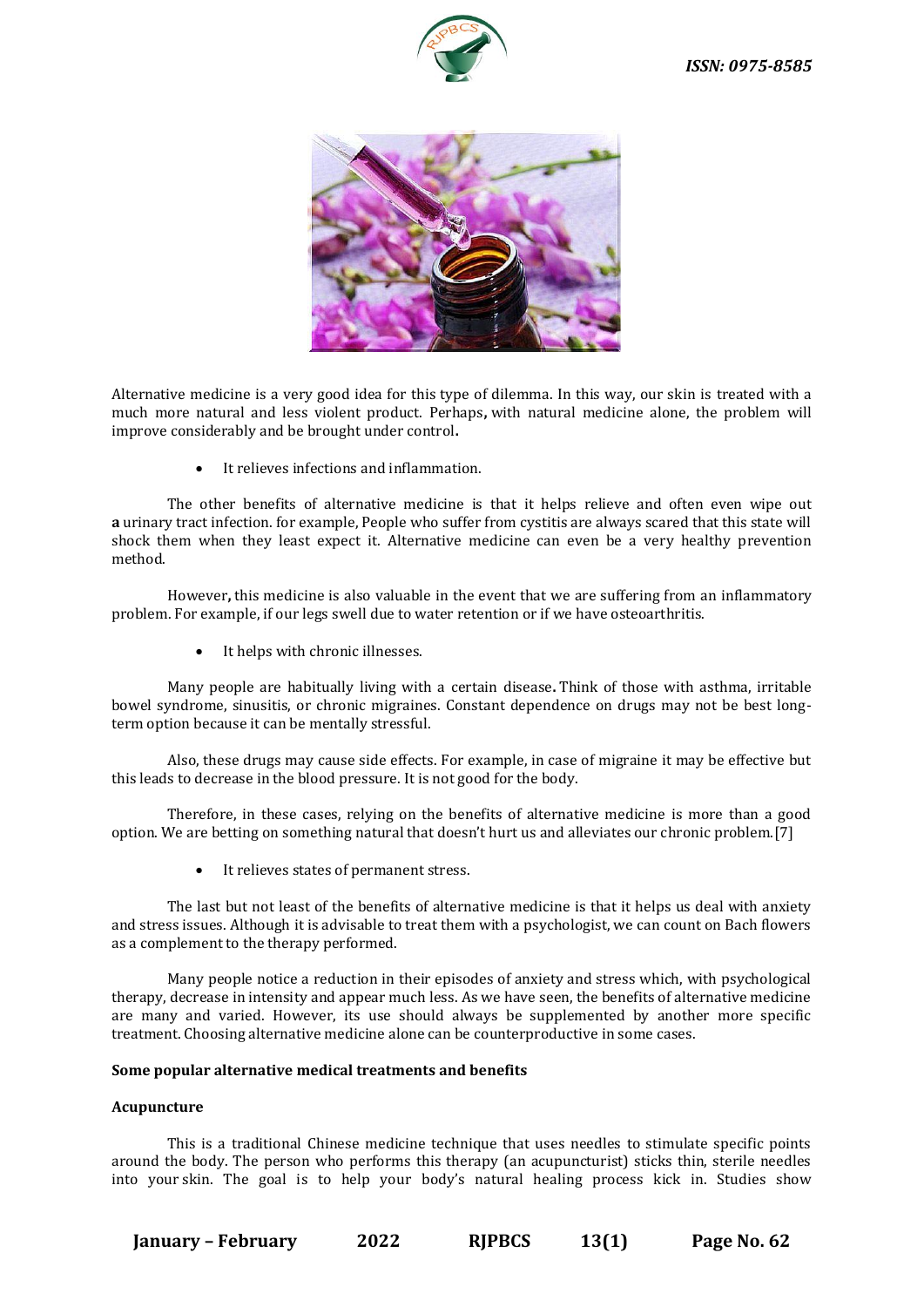



Alternative medicine is a very good idea for this type of dilemma. In this way, our skin is treated with a much more natural and less violent product. Perhaps**,** with natural medicine alone, the problem will improve considerably and be brought under control**.**

• It relieves infections and inflammation.

The other benefits of alternative medicine is that it helps relieve and often even wipe out **a** urinary tract infection. for example, People who suffer from cystitis are always scared that this state will shock them when they least expect it. Alternative medicine can even be a very healthy prevention method.

However**,** this medicine is also valuable in the event that we are suffering from an inflammatory problem. For example, if our legs swell due to water retention or if we have osteoarthritis.

• It helps with chronic illnesses.

Many people are habitually living with a certain disease**.** Think of those with asthma, irritable bowel syndrome, sinusitis, or chronic migraines. Constant dependence on drugs may not be best longterm option because it can be mentally stressful.

Also, these drugs may cause side effects. For example, in case of migraine it may be effective but this leads to decrease in the blood pressure. It is not good for the body.

Therefore, in these cases, relying on the benefits of alternative medicine is more than a good option. We are betting on something natural that doesn't hurt us and alleviates our chronic problem.[7]

It relieves states of permanent stress.

The last but not least of the benefits of alternative medicine is that it helps us deal with anxiety and stress issues. Although it is advisable to treat them with a psychologist, we can count on Bach flowers as a complement to the therapy performed.

Many people notice a reduction in their episodes of anxiety and stress which, with psychological therapy, decrease in intensity and appear much less. As we have seen, the benefits of alternative medicine are many and varied. However, its use should always be supplemented by another more specific treatment. Choosing alternative medicine alone can be counterproductive in some cases.

# **Some popular alternative medical treatments and benefits**

# **Acupuncture**

This is a traditional Chinese medicine technique that uses needles to stimulate specific points around the body. The person who performs this therapy (an acupuncturist) sticks thin, sterile needles into your skin. The goal is to help your body's natural healing process kick in. Studies show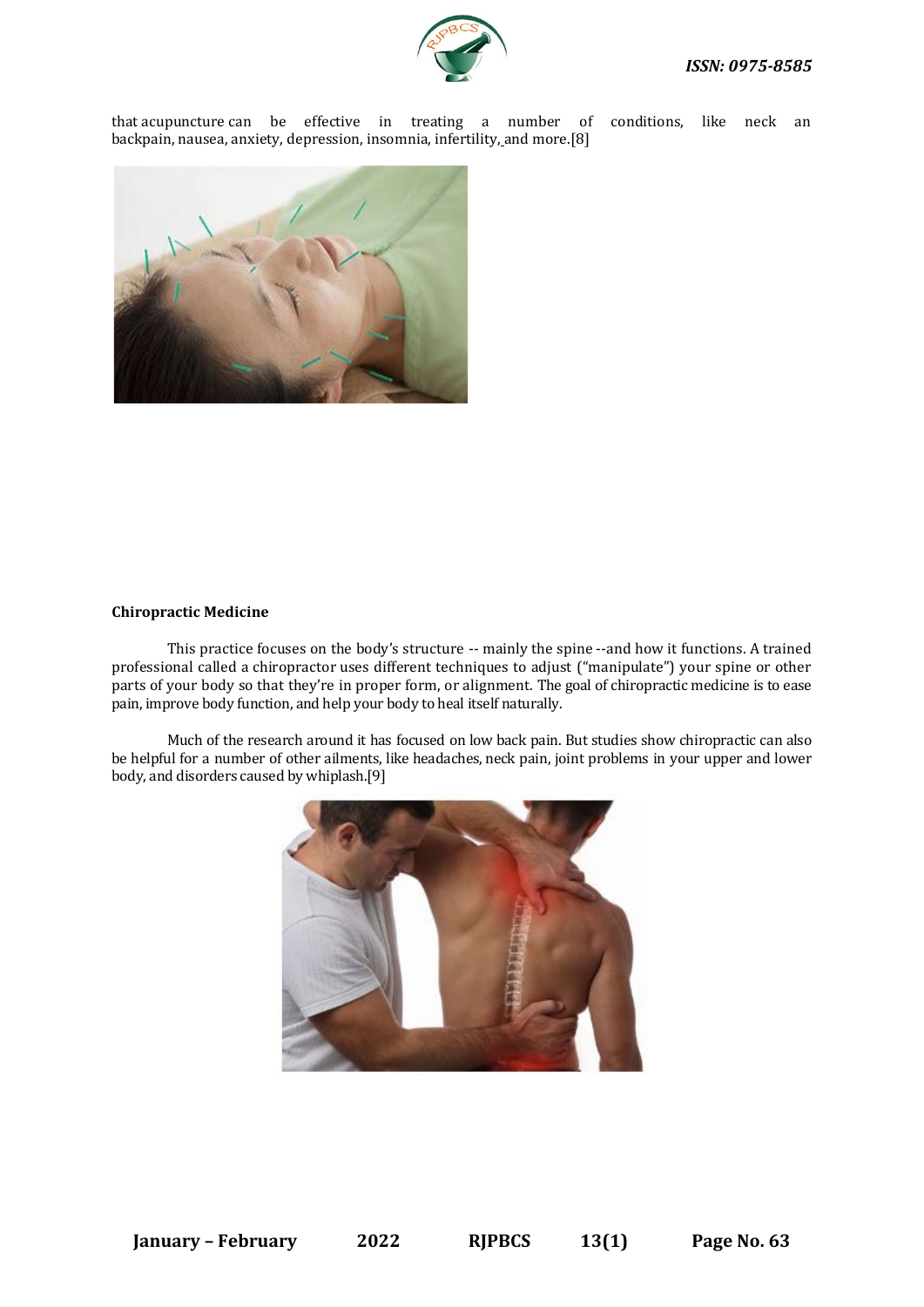that [acupuncture](https://www.webmd.com/pain-management/consider-acupuncture) can be effective in treating a number of conditions, like neck an backpain, [nausea,](https://www.webmd.com/digestive-disorders/digestive-diseases-nausea-vomiting) [anxiety,](https://www.webmd.com/anxiety-panic/default.htm) [depression,](https://www.webmd.com/depression/default.htm) [insomnia,](https://www.webmd.com/sleep-disorders/guide/insomnia-symptoms-and-causes) [infertility,](https://www.webmd.com/infertility-and-reproduction/default.htm) and more.[8]



# **Chiropractic Medicine**

This practice focuses on the body's structure -- mainly [the spine](https://www.webmd.com/back-pain/discs-of-the-spine) --and how it functions. A trained professional called a [chiropractor](https://www.webmd.com/pain-management/guide/chiropractic-pain-relief) uses different techniques to adjust ("manipulate") your spine or other parts of your body so that they're in proper form, or alignment. The goal of chiropractic medicine is to ease pain, improve body function, and help your body to heal itself naturally.

Much of the research around it has focused on low [back pain.](https://www.webmd.com/back-pain/ss/slideshow-back-pain-myths) But studies show chiropractic can also be helpful for a number of other ailments, like [headaches,](https://www.webmd.com/migraines-headaches/default.htm) [neck pain,](https://www.webmd.com/pain-management/guide/neck-shoulder) joint problems in your upper and lower body, and disorders caused by [whiplash.\[](https://www.webmd.com/pain-management/guide/pain-management-whiplash)9]

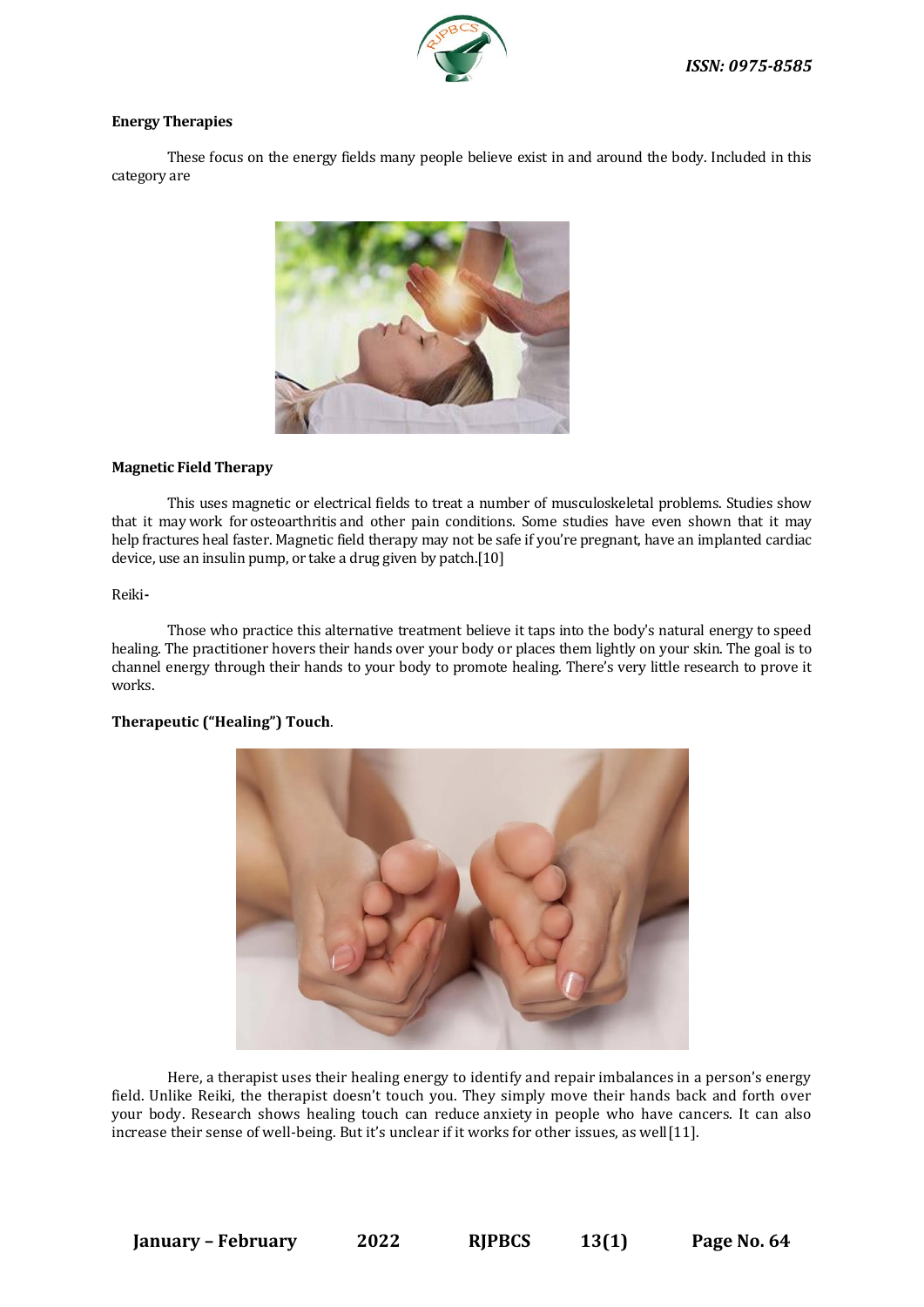

# **Energy Therapies**

These focus on the energy fields many people believe exist in and around the body. Included in this category are



# **Magnetic Field Therapy**

This uses magnetic or electrical fields to treat a number of musculoskeletal problems. Studies show that it may work for [osteoarthritis](https://www.webmd.com/osteoarthritis/default.htm) and other pain conditions. Some studies have even shown that it may help [fractures](https://www.webmd.com/a-to-z-guides/understanding-fractures-basic-information) heal faster. Magnetic field therapy may not be safe if you're [pregnant,](https://www.webmd.com/baby/default.htm) have an implanted cardiac device, use an [insulin pump,](https://www.webmd.com/diabetes/insulin-pump) or take a drug given by patch.[10]

# [Reiki](https://www.webmd.com/pain-management/tc/reiki-topic-overview)**-**

Those who practice this alternative treatment believe it taps into the body's natural energy to speed healing. The practitioner hovers their hands over your body or places them lightly on your skin. The goal is to channel energy through their hands to your body to promote healing. There's very little research to prove it works.

# **Therapeutic ("Healing") Touch**.



Here, a therapist uses their healing energy to identify and repair imbalances in a person's energy field. Unlike Reiki, the therapist doesn't touch you. They simply move their hands back and forth over your body. Research shows healing touch can reduce [anxiety](https://www.webmd.com/balance/stress-management/rm-quiz-stress-anxiety) in people who have cancers. It can also increase their sense of well-being. But it's unclear if it works for other issues, as well[11].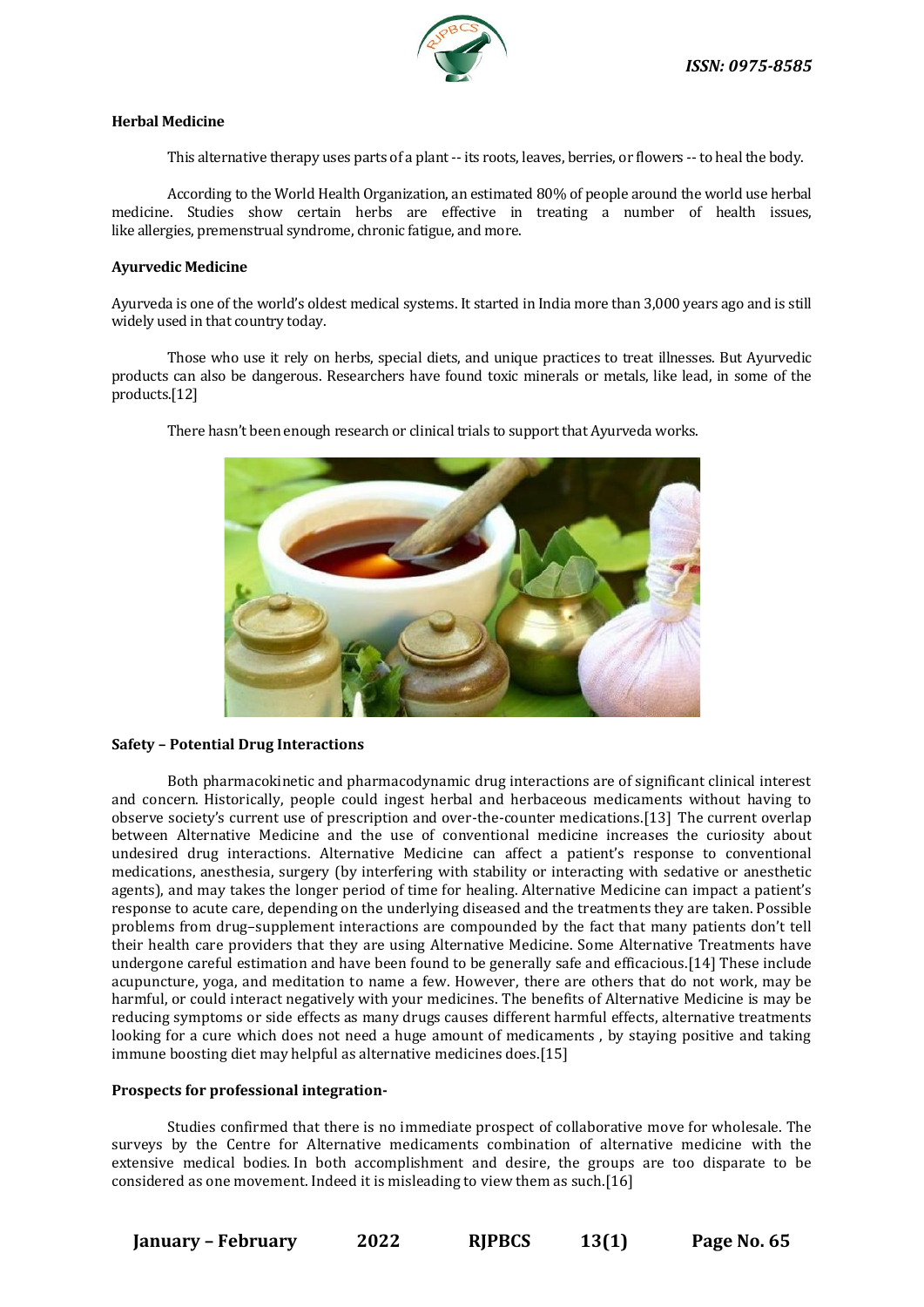

### **Herbal Medicine**

This alternative therapy uses parts of a plant -- its roots, leaves, berries, or flowers -- to heal the body.

According to the World Health Organization, an estimated 80% of people around the world use herbal medicine. Studies show certain herbs are effective in treating a number of health issues, like [allergies,](https://www.webmd.com/allergies/default.htm) [premenstrual syndrome,](https://www.webmd.com/women/pms/default.htm) [chronic fatigue,](https://www.webmd.com/chronic-fatigue-syndrome/default.htm) and more.

#### **Ayurvedic Medicine**

Ayurveda is one of the world's oldest medical systems. It started in India more than 3,000 years ago and is still widely used in that country today.

Those who use it rely on herbs, special diets, and unique practices to treat illnesses. But Ayurvedic products can also be dangerous. Researchers have found toxic minerals or metals, like lead, in some of the products.[12]



There hasn't been enough research or [clinical trials](https://www.webmd.com/a-to-z-guides/clincial-trial-guide-patients) to support that Ayurveda works.

#### **Safety – Potential Drug Interactions**

Both pharmacokinetic and pharmacodynamic drug interactions are of significant clinical interest and concern. Historically, people could ingest herbal and herbaceous medicaments without having to observe society's current use of prescription and over-the-counter medications.[13] The current overlap between Alternative Medicine and the use of conventional medicine increases the curiosity about undesired drug interactions. Alternative Medicine can affect a patient's response to conventional medications, anesthesia, surgery (by interfering with stability or interacting with sedative or anesthetic agents), and may takes the longer period of time for healing. Alternative Medicine can impact a patient's response to acute care, depending on the underlying diseased and the treatments they are taken. Possible problems from drug–supplement interactions are compounded by the fact that many patients don't tell their health care providers that they are using Alternative Medicine. Some Alternative Treatments have undergone careful estimation and have been found to be generally safe and efficacious.[14] These include acupuncture, yoga, and meditation to name a few. However, there are others that do not work, may be harmful, or could interact negatively with your medicines. The benefits of Alternative Medicine is may be reducing symptoms or side effects as many drugs causes different harmful effects, alternative treatments looking for a cure which does not need a huge amount of medicaments , by staying positive and taking immune boosting diet may helpful as alternative medicines does.[15]

#### **Prospects for professional integration-**

Studies confirmed that there is no immediate prospect of collaborative move for wholesale. The surveys by the Centre for Alternative medicaments combination of alternative medicine with the extensive medical bodies. In both accomplishment and desire, the groups are too disparate to be considered as one movement. Indeed it is misleading to view them as such.[16]

**January – February 2022 RJPBCS 13(1) Page No. 65**